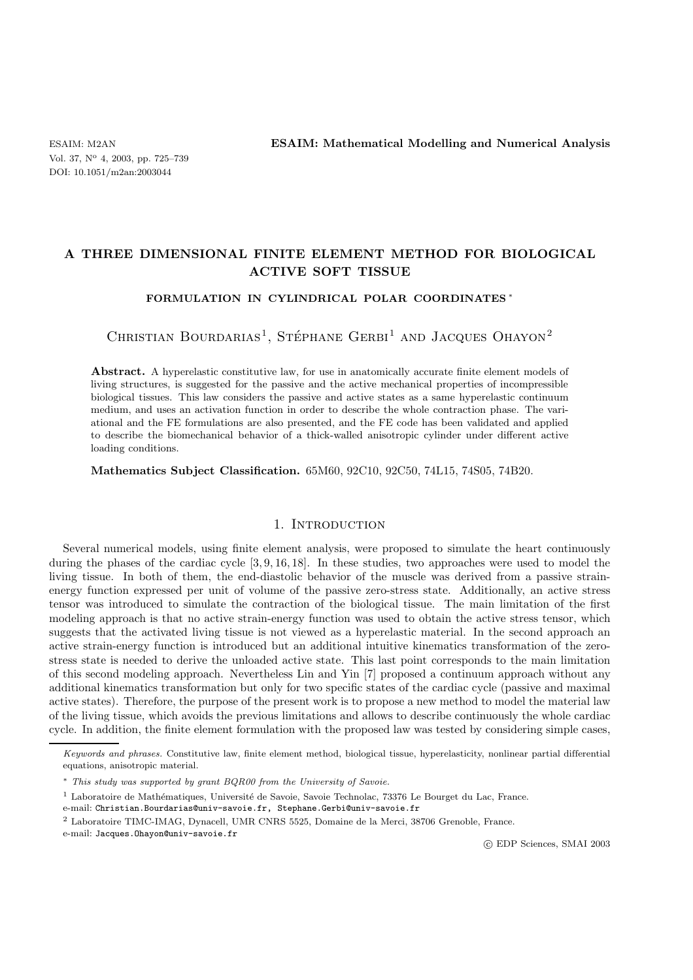ESAIM: M2AN **ESAIM: Mathematical Modelling and Numerical Analysis**

# **A THREE DIMENSIONAL FINITE ELEMENT METHOD FOR BIOLOGICAL ACTIVE SOFT TISSUE**

# **FORMULATION IN CYLINDRICAL POLAR COORDINATES** <sup>∗</sup>

CHRISTIAN BOURDARIAS<sup>1</sup>, STÉPHANE GERBI<sup>1</sup> AND JACQUES OHAYON<sup>2</sup>

**Abstract.** A hyperelastic constitutive law, for use in anatomically accurate finite element models of living structures, is suggested for the passive and the active mechanical properties of incompressible biological tissues. This law considers the passive and active states as a same hyperelastic continuum medium, and uses an activation function in order to describe the whole contraction phase. The variational and the FE formulations are also presented, and the FE code has been validated and applied to describe the biomechanical behavior of a thick-walled anisotropic cylinder under different active loading conditions.

**Mathematics Subject Classification.** 65M60, 92C10, 92C50, 74L15, 74S05, 74B20.

# 1. INTRODUCTION

Several numerical models, using finite element analysis, were proposed to simulate the heart continuously during the phases of the cardiac cycle  $[3, 9, 16, 18]$ . In these studies, two approaches were used to model the living tissue. In both of them, the end-diastolic behavior of the muscle was derived from a passive strainenergy function expressed per unit of volume of the passive zero-stress state. Additionally, an active stress tensor was introduced to simulate the contraction of the biological tissue. The main limitation of the first modeling approach is that no active strain-energy function was used to obtain the active stress tensor, which suggests that the activated living tissue is not viewed as a hyperelastic material. In the second approach an active strain-energy function is introduced but an additional intuitive kinematics transformation of the zerostress state is needed to derive the unloaded active state. This last point corresponds to the main limitation of this second modeling approach. Nevertheless Lin and Yin [7] proposed a continuum approach without any additional kinematics transformation but only for two specific states of the cardiac cycle (passive and maximal active states). Therefore, the purpose of the present work is to propose a new method to model the material law of the living tissue, which avoids the previous limitations and allows to describe continuously the whole cardiac cycle. In addition, the finite element formulation with the proposed law was tested by considering simple cases,

e-mail: Jacques.Ohayon@univ-savoie.fr

c EDP Sciences, SMAI 2003

Keywords and phrases. Constitutive law, finite element method, biological tissue, hyperelasticity, nonlinear partial differential equations, anisotropic material.

<sup>∗</sup> This study was supported by grant BQR00 from the University of Savoie.

 $1$  Laboratoire de Mathématiques, Université de Savoie, Savoie Technolac, 73376 Le Bourget du Lac, France.

e-mail: Christian.Bourdarias@univ-savoie.fr, Stephane.Gerbi@univ-savoie.fr

<sup>2</sup> Laboratoire TIMC-IMAG, Dynacell, UMR CNRS 5525, Domaine de la Merci, 38706 Grenoble, France.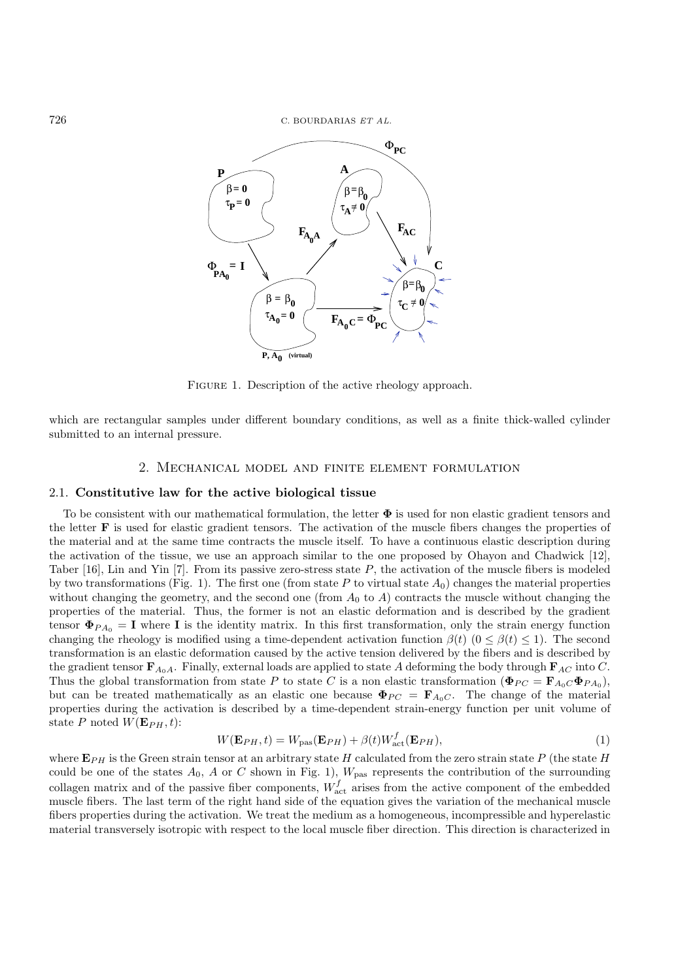

FIGURE 1. Description of the active rheology approach.

which are rectangular samples under different boundary conditions, as well as a finite thick-walled cylinder submitted to an internal pressure.

# 2. Mechanical model and finite element formulation

### 2.1. **Constitutive law for the active biological tissue**

To be consistent with our mathematical formulation, the letter **Φ** is used for non elastic gradient tensors and the letter **F** is used for elastic gradient tensors. The activation of the muscle fibers changes the properties of the material and at the same time contracts the muscle itself. To have a continuous elastic description during the activation of the tissue, we use an approach similar to the one proposed by Ohayon and Chadwick [12], Taber  $[16]$ , Lin and Yin  $[7]$ . From its passive zero-stress state P, the activation of the muscle fibers is modeled by two transformations (Fig. 1). The first one (from state P to virtual state  $A_0$ ) changes the material properties without changing the geometry, and the second one (from  $A_0$  to A) contracts the muscle without changing the properties of the material. Thus, the former is not an elastic deformation and is described by the gradient tensor  $\Phi_{PA_0} = I$  where **I** is the identity matrix. In this first transformation, only the strain energy function changing the rheology is modified using a time-dependent activation function  $\beta(t)$   $(0 \leq \beta(t) \leq 1)$ . The second transformation is an elastic deformation caused by the active tension delivered by the fibers and is described by the gradient tensor  $\mathbf{F}_{A_0A}$ . Finally, external loads are applied to state A deforming the body through  $\mathbf{F}_{AC}$  into C. Thus the global transformation from state P to state C is a non elastic transformation ( $\Phi_{PC} = \mathbf{F}_{A_0C}\Phi_{P_{A_0}}$ ), but can be treated mathematically as an elastic one because  $\Phi_{PC} = \mathbf{F}_{A_0C}$ . The change of the material properties during the activation is described by a time-dependent strain-energy function per unit volume of state P noted  $W(\mathbf{E}_{PH}, t)$ :

$$
W(\mathbf{E}_{PH},t) = W_{\text{pas}}(\mathbf{E}_{PH}) + \beta(t)W_{\text{act}}^f(\mathbf{E}_{PH}),
$$
\n(1)

where  $\mathbf{E}_{PH}$  is the Green strain tensor at an arbitrary state H calculated from the zero strain state P (the state H could be one of the states  $A_0$ , A or C shown in Fig. 1),  $W_{\text{pas}}$  represents the contribution of the surrounding collagen matrix and of the passive fiber components,  $W_{\text{act}}^f$  arises from the active component of the embedded muscle fibers. The last term of the right hand side of the equation gives the variation of the mechanical muscle fibers properties during the activation. We treat the medium as a homogeneous, incompressible and hyperelastic material transversely isotropic with respect to the local muscle fiber direction. This direction is characterized in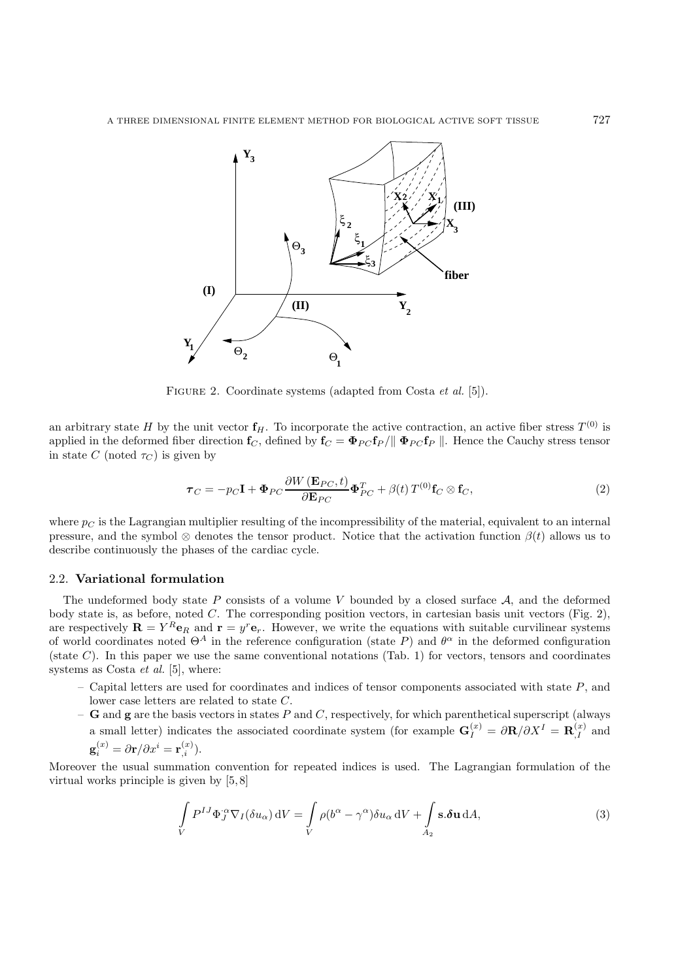

FIGURE 2. Coordinate systems (adapted from Costa *et al.* [5]).

an arbitrary state H by the unit vector  $f_H$ . To incorporate the active contraction, an active fiber stress  $T^{(0)}$  is applied in the deformed fiber direction  $f_C$ , defined by  $f_C = \Phi_{PC} f_P / || \Phi_{PC} f_P ||$ . Hence the Cauchy stress tensor in state C (noted  $\tau_C$ ) is given by

$$
\boldsymbol{\tau}_C = -p_C \mathbf{I} + \boldsymbol{\Phi}_{PC} \frac{\partial W(\mathbf{E}_{PC}, t)}{\partial \mathbf{E}_{PC}} \boldsymbol{\Phi}_{PC}^T + \beta(t) T^{(0)} \mathbf{f}_C \otimes \mathbf{f}_C, \qquad (2)
$$

where  $p_C$  is the Lagrangian multiplier resulting of the incompressibility of the material, equivalent to an internal pressure, and the symbol  $\otimes$  denotes the tensor product. Notice that the activation function  $\beta(t)$  allows us to describe continuously the phases of the cardiac cycle.

# 2.2. **Variational formulation**

The undeformed body state  $P$  consists of a volume  $V$  bounded by a closed surface  $A$ , and the deformed body state is, as before, noted C. The corresponding position vectors, in cartesian basis unit vectors (Fig. 2), are respectively  $\mathbf{R} = Y^R \mathbf{e}_R$  and  $\mathbf{r} = y^r \mathbf{e}_r$ . However, we write the equations with suitable curvilinear systems of world coordinates noted  $\Theta^A$  in the reference configuration (state P) and  $\theta^{\alpha}$  in the deformed configuration (state  $C$ ). In this paper we use the same conventional notations (Tab. 1) for vectors, tensors and coordinates systems as Costa *et al.* [5], where:

- Capital letters are used for coordinates and indices of tensor components associated with state  $P$ , and lower case letters are related to state C.
- **G** and **g** are the basis vectors in states P and C, respectively, for which parenthetical superscript (always a small letter) indicates the associated coordinate system (for example  $\mathbf{G}_I^{(x)} = \partial \mathbf{R}/\partial X^I = \mathbf{R}_I^{(x)}$  and

$$
\mathbf{g}_i^{(x)} = \partial \mathbf{r}/\partial x^i = \mathbf{r}_{,i}^{(x)}.
$$

Moreover the usual summation convention for repeated indices is used. The Lagrangian formulation of the virtual works principle is given by [5, 8]

$$
\int_{V} P^{IJ} \Phi_J^{\alpha} \nabla_I (\delta u_{\alpha}) \, \mathrm{d}V = \int_{V} \rho (b^{\alpha} - \gamma^{\alpha}) \delta u_{\alpha} \, \mathrm{d}V + \int_{A_2} \mathbf{s} . \delta \mathbf{u} \, \mathrm{d}A,\tag{3}
$$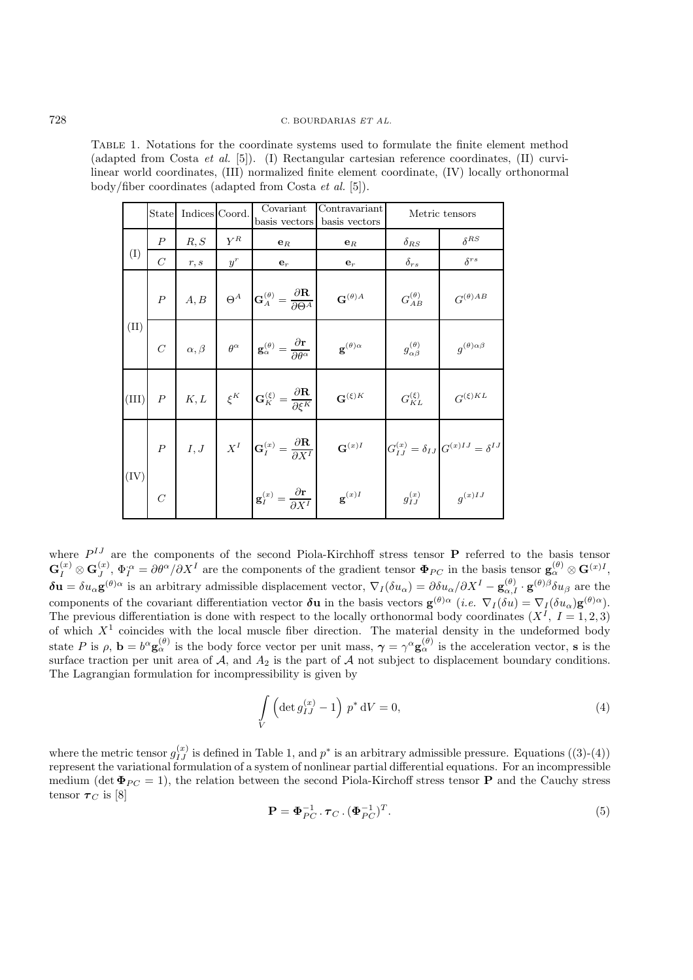Table 1. Notations for the coordinate systems used to formulate the finite element method (adapted from Costa *et al.* [5]). (I) Rectangular cartesian reference coordinates, (II) curvilinear world coordinates, (III) normalized finite element coordinate, (IV) locally orthonormal body/fiber coordinates (adapted from Costa *et al.* [5]).

|                 | <b>State</b>     | Indices Coord. |       | Covariant<br>basis vectors                                                                                                                                                                                                           | Contravariant<br>basis vectors | Metric tensors               |                                                              |
|-----------------|------------------|----------------|-------|--------------------------------------------------------------------------------------------------------------------------------------------------------------------------------------------------------------------------------------|--------------------------------|------------------------------|--------------------------------------------------------------|
|                 | $\boldsymbol{P}$ | R, S           | $Y^R$ | $e_R$                                                                                                                                                                                                                                | $e_R$                          | $\delta_{RS}$                | $\delta^{RS}$                                                |
| (I)             | $\mathcal{C}$    | r, s           | $y^r$ | $\mathbf{e}_r$                                                                                                                                                                                                                       | $\mathbf{e}_r$                 | $\delta_{rs}$                | $\delta^{rs}$                                                |
|                 | $\cal P$         | A, B           |       | $\Theta^A$ $\mathbf{G}_A^{(\theta)} = \frac{\partial \mathbf{R}}{\partial \Theta^A}$                                                                                                                                                 | $\mathbf{G}^{(\theta)A}$       | $G_{AB}^{(\theta)}$          | $G^{(\theta)AB}$                                             |
| (II)            | $\cal C$         |                |       | $\alpha, \beta$ $\theta^{\alpha}$ $\mathbf{g}_{\alpha}^{(\theta)} = \frac{\partial \mathbf{r}}{\partial \theta^{\alpha}}$                                                                                                            | $\mathbf{g}^{(\theta)\alpha}$  | $g^{(\theta)}_{\alpha\beta}$ | $g^{(\theta)\alpha\beta}$                                    |
| (III)           |                  |                |       | $P \begin{array}{c c} \hline \begin{array}{c} \hline \end{array} & K, L \end{array}$ $\begin{array}{c} \hline \end{array} \xi^K \end{array}$ $\begin{array}{c} G_K^{(\xi)} = \frac{\partial \mathbf{R}}{\partial \xi^K} \end{array}$ | $\mathbf{G}^{(\xi)K}$          | $G_{KL}^{(\xi)}$             | $G^{(\xi)KL}$                                                |
|                 |                  |                |       |                                                                                                                                                                                                                                      | $\mathbf{G}^{(x)I}$            |                              | $G^{(x)}_{IJ}=\delta_{IJ}\left[G^{(x)IJ}=\delta^{IJ}\right.$ |
| $\binom{IV}{ }$ |                  |                |       | $\begin{array}{c c} P & I,J & X^I & \mathbf{G}_I^{(x)} = \dfrac{\partial \mathbf{R}}{\partial X^I} \ \hline \ C & & & \mathbf{g}_I^{(x)} = \dfrac{\partial \mathbf{r}}{\partial X^I} \end{array}$                                    | $\mathbf{g}^{(x)I}$            | $g_{IJ}^{(x)}$               | $g^{(x)IJ}$                                                  |

where  $P^{IJ}$  are the components of the second Piola-Kirchhoff stress tensor **P** referred to the basis tensor  $\mathbf{G}_I^{(x)} \otimes \mathbf{G}_J^{(x)}$ ,  $\Phi_I^{\alpha} = \partial \theta^{\alpha}/\partial X^I$  are the components of the gradient tensor  $\mathbf{\Phi}_{PC}$  in the basis tensor  $\mathbf{g}_{\alpha}^{(\theta)} \otimes \mathbf{G}^{(x)I}$ ,  $\delta$ **u** =  $\delta u_{\alpha}$ **g**<sup>(θ)α</sup> is an arbitrary admissible displacement vector,  $\nabla_I (\delta u_{\alpha}) = \partial \delta u_{\alpha}/\partial X^I - \mathbf{g}_{\alpha I}^{(\theta)} \cdot \mathbf{g}^{(\theta)}$  are the components of the covariant differentiation vector  $\delta$ **u** in the basis vectors  $\mathbf{g}^{(\theta)\alpha}$  (*i.e.*  $\nabla_I(\delta u) = \nabla_I(\delta u_\alpha) \mathbf{g}^{(\theta)\alpha}$ ). The previous differentiation is done with respect to the locally orthonormal body coordinates  $(X^I, I = 1, 2, 3)$ of which  $X^1$  coincides with the local muscle fiber direction. The material density in the undeformed body state P is  $\rho$ ,  $\mathbf{b} = b^{\alpha} \mathbf{g}_{\alpha}^{(\theta)}$  is the body force vector per unit mass,  $\gamma = \gamma^{\alpha} \mathbf{g}_{\alpha}^{(\theta)}$  is the acceleration vector, **s** is the surface traction per unit area of  $A$ , and  $A_2$  is the part of  $A$  not subject to displacement boundary conditions. The Lagrangian formulation for incompressibility is given by

$$
\int\limits_V \left(\det g_{IJ}^{(x)} - 1\right) p^* \, \mathrm{d}V = 0,\tag{4}
$$

where the metric tensor  $g_{IJ}^{(x)}$  is defined in Table 1, and  $p^*$  is an arbitrary admissible pressure. Equations ((3)-(4)) represent the variational formulation of a system of nonlinear partial differential equations. For an incompressible medium (det  $\Phi_{PC} = 1$ ), the relation between the second Piola-Kirchoff stress tensor **P** and the Cauchy stress tensor  $\tau_C$  is [8]

$$
\mathbf{P} = \mathbf{\Phi}_{PC}^{-1} \cdot \boldsymbol{\tau}_{C} \cdot (\mathbf{\Phi}_{PC}^{-1})^{T}.
$$
\n
$$
(5)
$$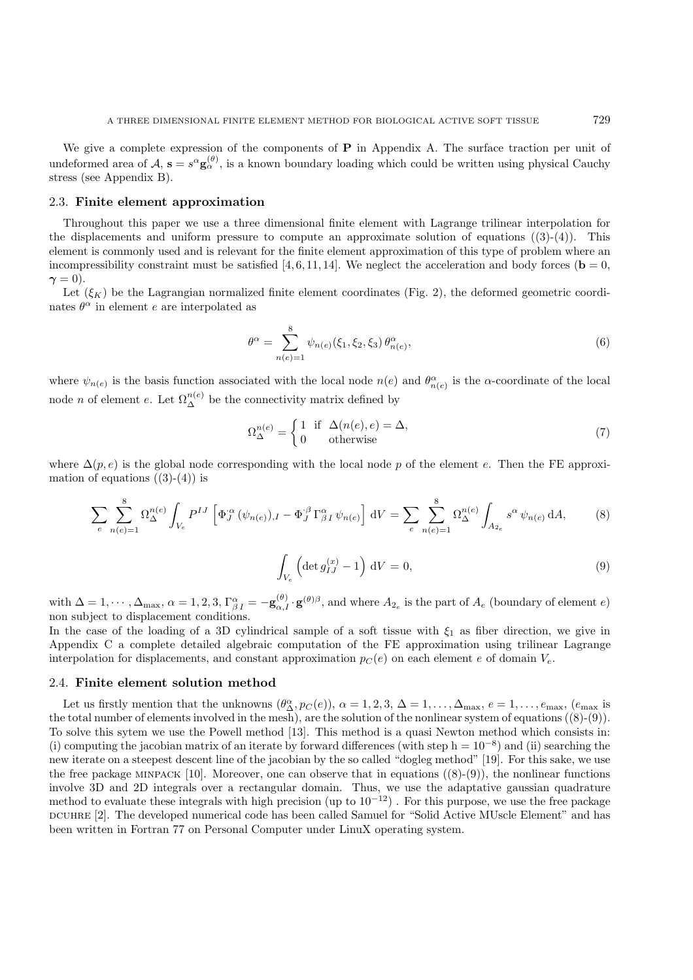We give a complete expression of the components of **P** in Appendix A. The surface traction per unit of undeformed area of  $A$ ,  $\mathbf{s} = s^{\alpha} \mathbf{g}_{\alpha}^{(\theta)}$ , is a known boundary loading which could be written using physical Cauchy stress (see Appendix B).

#### 2.3. **Finite element approximation**

Throughout this paper we use a three dimensional finite element with Lagrange trilinear interpolation for the displacements and uniform pressure to compute an approximate solution of equations  $((3)-(4))$ . This element is commonly used and is relevant for the finite element approximation of this type of problem where an incompressibility constraint must be satisfied [4, 6, 11, 14]. We neglect the acceleration and body forces ( $\mathbf{b} = 0$ ,  $\gamma = 0$ ).

Let  $(\xi_K)$  be the Lagrangian normalized finite element coordinates (Fig. 2), the deformed geometric coordinates  $\theta^{\alpha}$  in element e are interpolated as

$$
\theta^{\alpha} = \sum_{n(e)=1}^{8} \psi_{n(e)}(\xi_1, \xi_2, \xi_3) \theta_{n(e)}^{\alpha}, \tag{6}
$$

where  $\psi_{n(e)}$  is the basis function associated with the local node  $n(e)$  and  $\theta_{n(e)}^{\alpha}$  is the  $\alpha$ -coordinate of the local node *n* of element *e*. Let  $\Omega_{\Delta}^{n(e)}$  be the connectivity matrix defined by

$$
\Omega_{\Delta}^{n(e)} = \begin{cases} 1 & \text{if } \Delta(n(e), e) = \Delta, \\ 0 & \text{otherwise} \end{cases}
$$
 (7)

where  $\Delta(p, e)$  is the global node corresponding with the local node p of the element e. Then the FE approximation of equations  $((3)-(4))$  is

$$
\sum_{e} \sum_{n(e)=1}^{8} \Omega_{\Delta}^{n(e)} \int_{V_e} P^{IJ} \left[ \Phi_J^{\alpha} (\psi_{n(e)}),_I - \Phi_J^{\beta} \Gamma_{\beta I}^{\alpha} \psi_{n(e)} \right] dV = \sum_{e} \sum_{n(e)=1}^{8} \Omega_{\Delta}^{n(e)} \int_{A_{2_e}} s^{\alpha} \psi_{n(e)} dA,
$$
 (8)

$$
\int_{V_e} \left( \det g_{IJ}^{(x)} - 1 \right) dV = 0,\tag{9}
$$

with  $\Delta = 1, \dots, \Delta_{\text{max}}, \alpha = 1, 2, 3, \Gamma^{\alpha}_{\beta I} = -\mathbf{g}^{(\theta)}_{\alpha, I} \cdot \mathbf{g}^{(\theta)\beta}$ , and where  $A_{2_e}$  is the part of  $A_e$  (boundary of element  $e$ ) non subject to displacement conditions.

In the case of the loading of a 3D cylindrical sample of a soft tissue with  $\xi_1$  as fiber direction, we give in Appendix C a complete detailed algebraic computation of the FE approximation using trilinear Lagrange interpolation for displacements, and constant approximation  $p_C(e)$  on each element e of domain  $V_e$ .

## 2.4. **Finite element solution method**

Let us firstly mention that the unknowns  $(\theta_{\Delta}^{\alpha}, p_C(e)), \alpha = 1, 2, 3, \Delta = 1, \ldots, \Delta_{\text{max}}, e = 1, \ldots, e_{\text{max}}, (e_{\text{max}})$ the total number of elements involved in the mesh), are the solution of the nonlinear system of equations  $((8)-(9))$ . To solve this sytem we use the Powell method [13]. This method is a quasi Newton method which consists in: (i) computing the jacobian matrix of an iterate by forward differences (with step  $h = 10^{-8}$ ) and (ii) searching the new iterate on a steepest descent line of the jacobian by the so called "dogleg method" [19]. For this sake, we use the free package MINPACK [10]. Moreover, one can observe that in equations  $((8)-(9))$ , the nonlinear functions involve 3D and 2D integrals over a rectangular domain. Thus, we use the adaptative gaussian quadrature method to evaluate these integrals with high precision (up to  $10^{-12}$ ). For this purpose, we use the free package dcuhre [2]. The developed numerical code has been called Samuel for "Solid Active MUscle Element" and has been written in Fortran 77 on Personal Computer under LinuX operating system.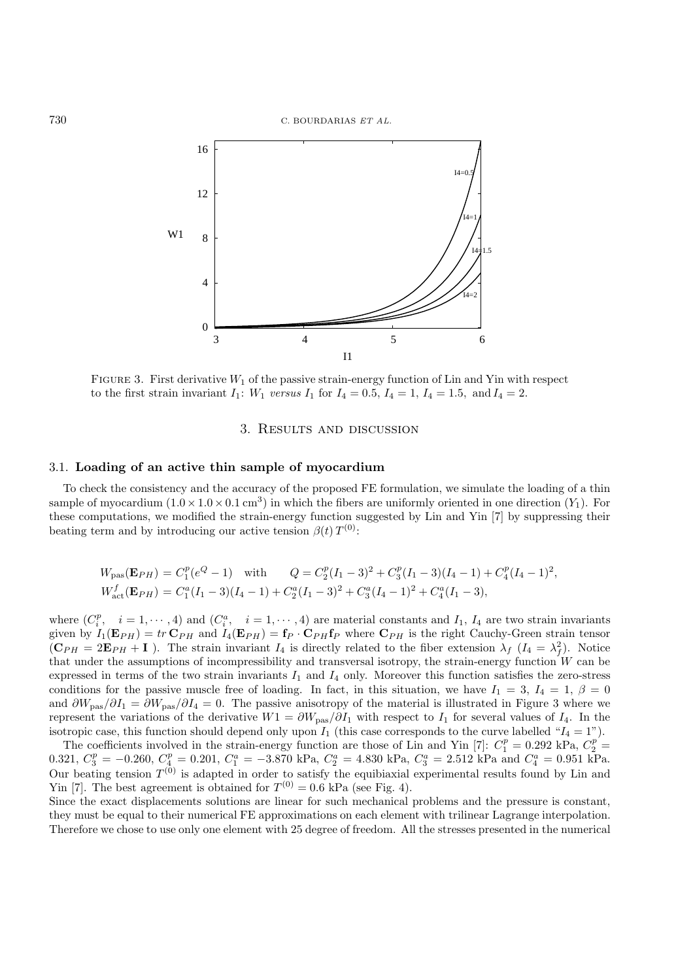

FIGURE 3. First derivative  $W_1$  of the passive strain-energy function of Lin and Yin with respect to the first strain invariant  $I_1$ :  $W_1$  versus  $I_1$  for  $I_4 = 0.5$ ,  $I_4 = 1$ ,  $I_4 = 1.5$ , and  $I_4 = 2$ .

# 3. Results and discussion

## 3.1. **Loading of an active thin sample of myocardium**

To check the consistency and the accuracy of the proposed FE formulation, we simulate the loading of a thin sample of myocardium  $(1.0 \times 1.0 \times 0.1 \text{ cm}^3)$  in which the fibers are uniformly oriented in one direction  $(Y_1)$ . For these computations, we modified the strain-energy function suggested by Lin and Yin [7] by suppressing their beating term and by introducing our active tension  $\beta(t) T^{(0)}$ :

$$
W_{\text{pas}}(\mathbf{E}_{PH}) = C_1^p (e^Q - 1) \quad \text{with} \quad Q = C_2^p (I_1 - 3)^2 + C_3^p (I_1 - 3)(I_4 - 1) + C_4^p (I_4 - 1)^2,
$$
  
\n
$$
W_{\text{act}}^f(\mathbf{E}_{PH}) = C_1^a (I_1 - 3)(I_4 - 1) + C_2^a (I_1 - 3)^2 + C_3^a (I_4 - 1)^2 + C_4^a (I_1 - 3),
$$

where  $(C_i^p, i = 1, \dots, 4)$  and  $(C_i^a, i = 1, \dots, 4)$  are material constants and  $I_1$ ,  $I_4$  are two strain invariants given by  $I_1(\mathbf{E}_{PH}) = tr \mathbf{C}_{PH}$  and  $I_4(\mathbf{E}_{PH}) = \mathbf{f}_P \cdot \mathbf{C}_{PH} \mathbf{f}_P$  where  $\mathbf{C}_{PH}$  is the right Cauchy-Green strain tensor  $(\mathbf{C}_{PH} = 2\mathbf{E}_{PH} + \mathbf{I})$ . The strain invariant  $I_4$  is directly related to the fiber extension  $\lambda_f$   $(I_4 = \lambda_f^2)$ . Notice that under the assumptions of incompressibility and transversal isotropy, the strain-energy function  $W$  can be expressed in terms of the two strain invariants  $I_1$  and  $I_4$  only. Moreover this function satisfies the zero-stress conditions for the passive muscle free of loading. In fact, in this situation, we have  $I_1 = 3$ ,  $I_4 = 1$ ,  $\beta = 0$ and  $\partial W_{\text{pas}}/\partial I_1 = \partial W_{\text{pas}}/\partial I_4 = 0$ . The passive anisotropy of the material is illustrated in Figure 3 where we represent the variations of the derivative  $W1 = \partial W_{\text{pas}}/\partial I_1$  with respect to  $I_1$  for several values of  $I_4$ . In the isotropic case, this function should depend only upon  $I_1$  (this case corresponds to the curve labelled " $I_4 = 1$ ").

The coefficients involved in the strain-energy function are those of Lin and Yin [7]:  $C_1^p = 0.292$  kPa,  $C_2^p = 0.321$ ,  $C_3^p = -0.260$ ,  $C_4^p = 0.201$ ,  $C_1^a = -3.870$  kPa,  $C_2^a = 4.830$  kPa,  $C_3^a = 2.512$  kPa and  $C_4$ Our beating tension  $T^{(0)}$  is adapted in order to satisfy the equibiaxial experimental results found by Lin and Yin [7]. The best agreement is obtained for  $T^{(0)} = 0.6$  kPa (see Fig. 4).

Since the exact displacements solutions are linear for such mechanical problems and the pressure is constant, they must be equal to their numerical FE approximations on each element with trilinear Lagrange interpolation. Therefore we chose to use only one element with 25 degree of freedom. All the stresses presented in the numerical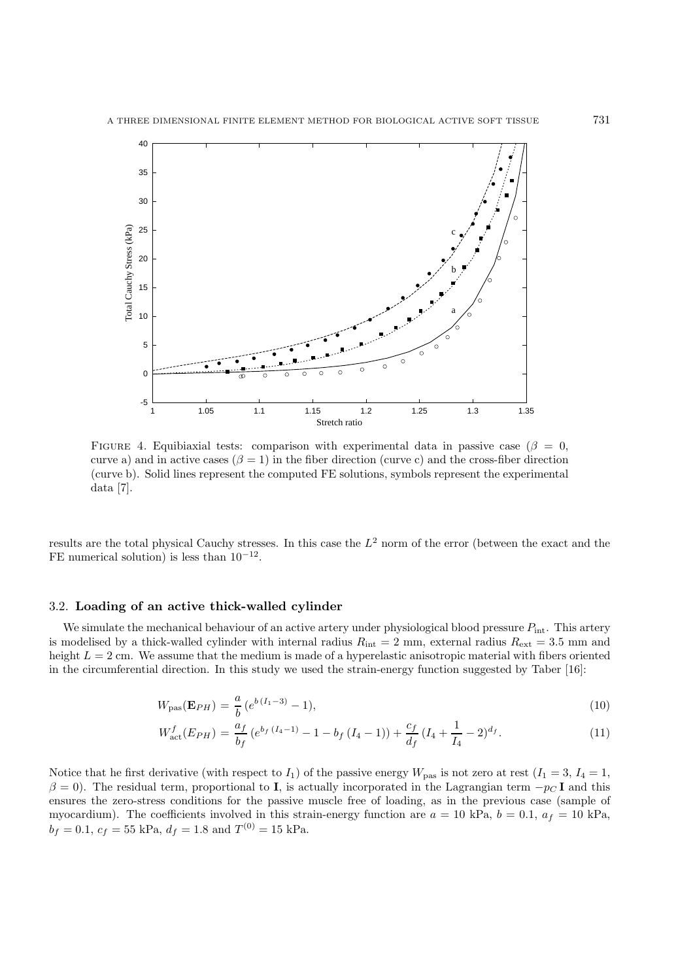

FIGURE 4. Equibiaxial tests: comparison with experimental data in passive case ( $\beta = 0$ , curve a) and in active cases  $(\beta = 1)$  in the fiber direction (curve c) and the cross-fiber direction (curve b). Solid lines represent the computed FE solutions, symbols represent the experimental data [7].

results are the total physical Cauchy stresses. In this case the  $L^2$  norm of the error (between the exact and the FE numerical solution) is less than  $10^{-12}$ .

#### 3.2. **Loading of an active thick-walled cylinder**

We simulate the mechanical behaviour of an active artery under physiological blood pressure  $P_{\text{int}}$ . This artery is modelised by a thick-walled cylinder with internal radius  $R_{\text{int}} = 2$  mm, external radius  $R_{\text{ext}} = 3.5$  mm and height  $L = 2$  cm. We assume that the medium is made of a hyperelastic anisotropic material with fibers oriented in the circumferential direction. In this study we used the strain-energy function suggested by Taber [16]:

$$
W_{\text{pas}}(\mathbf{E}_{PH}) = \frac{a}{b} \left( e^{b \, (I_1 - 3)} - 1 \right),\tag{10}
$$

$$
W_{\text{act}}^{f}(E_{PH}) = \frac{a_f}{b_f} \left( e^{b_f \left( I_4 - 1 \right)} - 1 - b_f \left( I_4 - 1 \right) \right) + \frac{c_f}{d_f} \left( I_4 + \frac{1}{I_4} - 2 \right)^{d_f}.
$$
 (11)

Notice that he first derivative (with respect to  $I_1$ ) of the passive energy  $W_{\text{pas}}$  is not zero at rest  $(I_1 = 3, I_4 = 1, I_5)$  $\beta = 0$ ). The residual term, proportional to **I**, is actually incorporated in the Lagrangian term  $-p<sub>C</sub>$ **I** and this ensures the zero-stress conditions for the passive muscle free of loading, as in the previous case (sample of myocardium). The coefficients involved in this strain-energy function are  $a = 10$  kPa,  $b = 0.1$ ,  $a_f = 10$  kPa,  $b_f = 0.1, c_f = 55$  kPa,  $d_f = 1.8$  and  $T^{(0)} = 15$  kPa.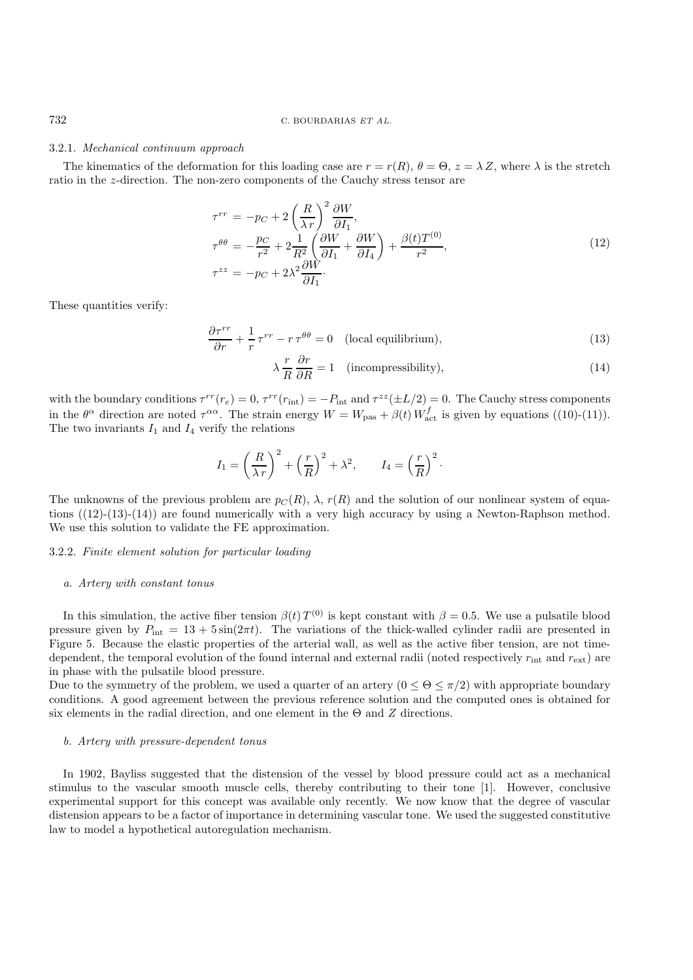#### 3.2.1. *Mechanical continuum approach*

The kinematics of the deformation for this loading case are  $r = r(R)$ ,  $\theta = \Theta$ ,  $z = \lambda Z$ , where  $\lambda$  is the stretch ratio in the z-direction. The non-zero components of the Cauchy stress tensor are

$$
\tau^{rr} = -p_C + 2\left(\frac{R}{\lambda r}\right)^2 \frac{\partial W}{\partial I_1},
$$
\n
$$
\tau^{\theta \theta} = -\frac{p_C}{r^2} + 2\frac{1}{R^2} \left(\frac{\partial W}{\partial I_1} + \frac{\partial W}{\partial I_4}\right) + \frac{\beta(t)T^{(0)}}{r^2},
$$
\n
$$
\tau^{zz} = -p_C + 2\lambda^2 \frac{\partial W}{\partial I_1}.
$$
\n(12)

These quantities verify:

$$
\frac{\partial \tau^{rr}}{\partial r} + \frac{1}{r} \tau^{rr} - r \tau^{\theta \theta} = 0 \quad \text{(local equilibrium)},\tag{13}
$$

$$
\lambda \frac{r}{R} \frac{\partial r}{\partial R} = 1 \quad \text{(incompressibility)},\tag{14}
$$

with the boundary conditions  $\tau^{rr}(r_e) = 0$ ,  $\tau^{rr}(r_{\rm int}) = -P_{\rm int}$  and  $\tau^{zz}(\pm L/2) = 0$ . The Cauchy stress components in the  $\theta^{\alpha}$  direction are noted  $\tau^{\alpha\alpha}$ . The strain energy  $W = W_{\text{pas}} + \beta(t) W_{\text{act}}^f$  is given by equations ((10)-(11)). The two invariants  $I_1$  and  $I_4$  verify the relations

$$
I_1 = \left(\frac{R}{\lambda r}\right)^2 + \left(\frac{r}{R}\right)^2 + \lambda^2, \qquad I_4 = \left(\frac{r}{R}\right)^2.
$$

The unknowns of the previous problem are  $p_C(R)$ ,  $\lambda$ ,  $r(R)$  and the solution of our nonlinear system of equations  $((12)-(13)-(14))$  are found numerically with a very high accuracy by using a Newton-Raphson method. We use this solution to validate the FE approximation.

## 3.2.2. *Finite element solution for particular loading*

#### *a. Artery with constant tonus*

In this simulation, the active fiber tension  $\beta(t) T^{(0)}$  is kept constant with  $\beta = 0.5$ . We use a pulsatile blood pressure given by  $P_{\text{int}} = 13 + 5 \sin(2\pi t)$ . The variations of the thick-walled cylinder radii are presented in Figure 5. Because the elastic properties of the arterial wall, as well as the active fiber tension, are not timedependent, the temporal evolution of the found internal and external radii (noted respectively  $r_{\text{int}}$  and  $r_{\text{ext}}$ ) are in phase with the pulsatile blood pressure.

Due to the symmetry of the problem, we used a quarter of an artery  $(0 \le \Theta \le \pi/2)$  with appropriate boundary conditions. A good agreement between the previous reference solution and the computed ones is obtained for six elements in the radial direction, and one element in the  $\Theta$  and  $Z$  directions.

#### *b. Artery with pressure-dependent tonus*

In 1902, Bayliss suggested that the distension of the vessel by blood pressure could act as a mechanical stimulus to the vascular smooth muscle cells, thereby contributing to their tone [1]. However, conclusive experimental support for this concept was available only recently. We now know that the degree of vascular distension appears to be a factor of importance in determining vascular tone. We used the suggested constitutive law to model a hypothetical autoregulation mechanism.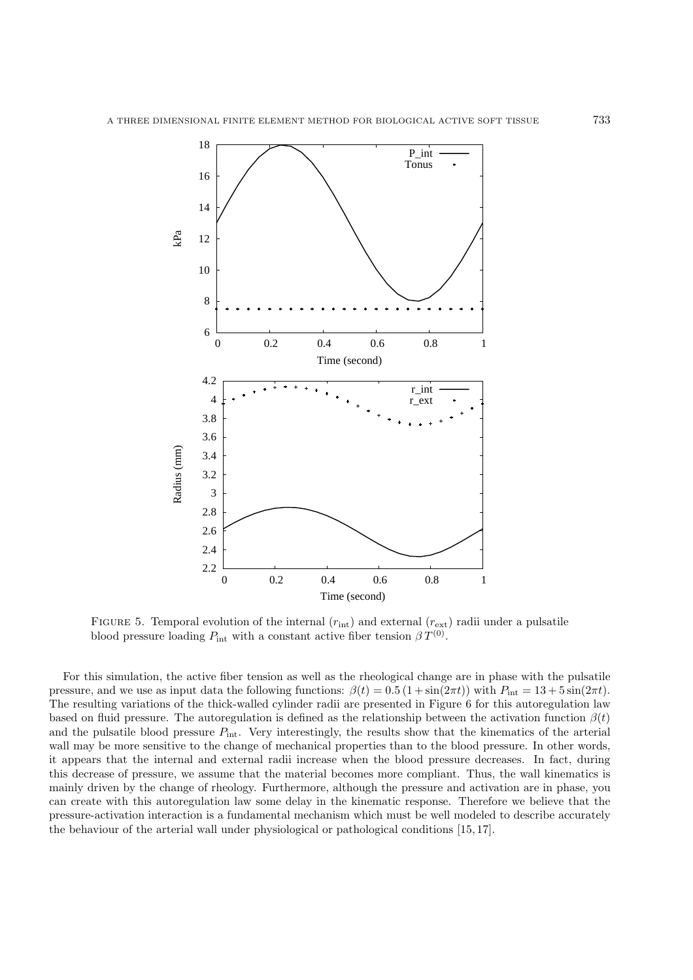

FIGURE 5. Temporal evolution of the internal  $(r_{\text{int}})$  and external  $(r_{\text{ext}})$  radii under a pulsatile blood pressure loading  $P_{\text{int}}$  with a constant active fiber tension  $\beta T^{(0)}$ .

For this simulation, the active fiber tension as well as the rheological change are in phase with the pulsatile pressure, and we use as input data the following functions:  $\beta(t)=0.5 (1 + \sin(2\pi t))$  with  $P_{\text{int}} = 13 + 5 \sin(2\pi t)$ . The resulting variations of the thick-walled cylinder radii are presented in Figure 6 for this autoregulation law based on fluid pressure. The autoregulation is defined as the relationship between the activation function  $\beta(t)$ and the pulsatile blood pressure  $P_{\text{int}}$ . Very interestingly, the results show that the kinematics of the arterial wall may be more sensitive to the change of mechanical properties than to the blood pressure. In other words, it appears that the internal and external radii increase when the blood pressure decreases. In fact, during this decrease of pressure, we assume that the material becomes more compliant. Thus, the wall kinematics is mainly driven by the change of rheology. Furthermore, although the pressure and activation are in phase, you can create with this autoregulation law some delay in the kinematic response. Therefore we believe that the pressure-activation interaction is a fundamental mechanism which must be well modeled to describe accurately the behaviour of the arterial wall under physiological or pathological conditions [15, 17].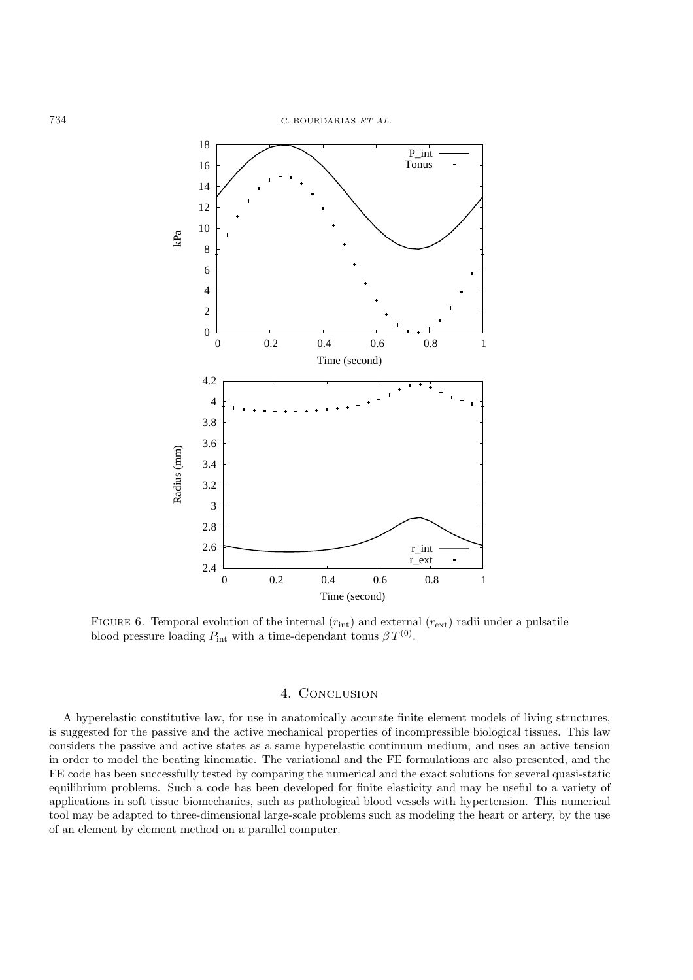

FIGURE 6. Temporal evolution of the internal  $(r_{\rm int})$  and external  $(r_{\rm ext})$  radii under a pulsatile blood pressure loading  $P_{\text{int}}$  with a time-dependant tonus  $\beta T^{(0)}$ .

# 4. CONCLUSION

A hyperelastic constitutive law, for use in anatomically accurate finite element models of living structures, is suggested for the passive and the active mechanical properties of incompressible biological tissues. This law considers the passive and active states as a same hyperelastic continuum medium, and uses an active tension in order to model the beating kinematic. The variational and the FE formulations are also presented, and the FE code has been successfully tested by comparing the numerical and the exact solutions for several quasi-static equilibrium problems. Such a code has been developed for finite elasticity and may be useful to a variety of applications in soft tissue biomechanics, such as pathological blood vessels with hypertension. This numerical tool may be adapted to three-dimensional large-scale problems such as modeling the heart or artery, by the use of an element by element method on a parallel computer.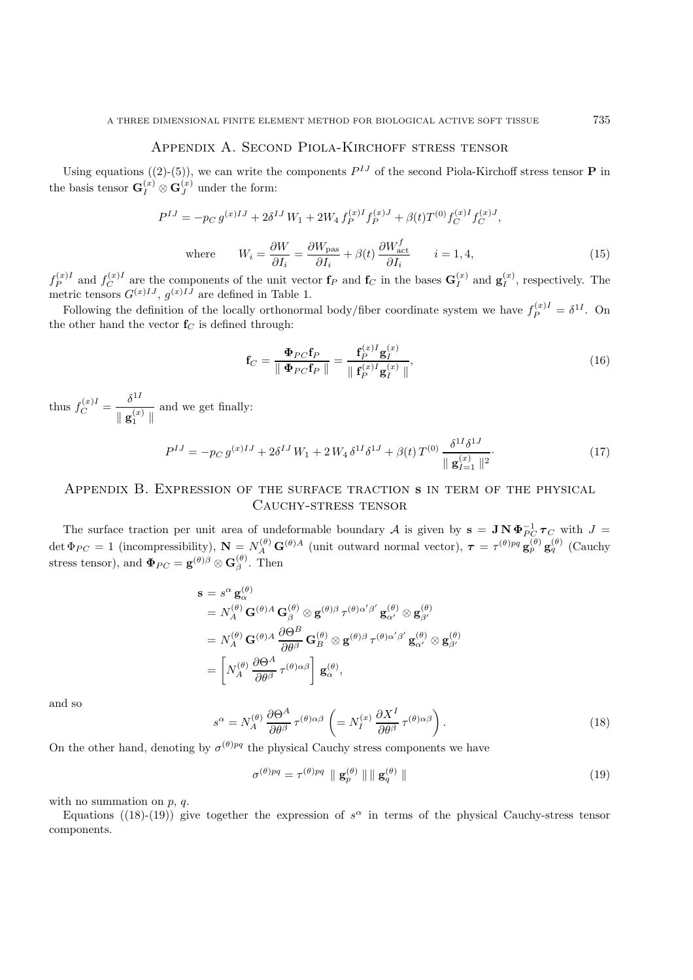# Appendix A. Second Piola-Kirchoff stress tensor

Using equations  $((2)-(5))$ , we can write the components  $P^{IJ}$  of the second Piola-Kirchoff stress tensor **P** in the basis tensor  $\mathbf{G}_I^{(x)} \otimes \mathbf{G}_J^{(x)}$  under the form:

$$
P^{IJ} = -p_C g^{(x)IJ} + 2\delta^{IJ} W_1 + 2W_4 f_P^{(x)I} f_P^{(x)J} + \beta(t) T^{(0)} f_C^{(x)I} f_C^{(x)J},
$$

where 
$$
W_i = \frac{\partial W}{\partial I_i} = \frac{\partial W_{\text{pas}}}{\partial I_i} + \beta(t) \frac{\partial W_{\text{act}}^f}{\partial I_i}
$$
  $i = 1, 4,$  (15)

 $f_P^{(x)I}$  and  $f_C^{(x)I}$  are the components of the unit vector  $f_P$  and  $f_C$  in the bases  $G_I^{(x)}$  and  $g_I^{(x)}$ , respectively. The metric tensors  $G^{(x)IJ}$ ,  $g^{(x)IJ}$  are defined in Table 1.

Following the definition of the locally orthonormal body/fiber coordinate system we have  $f_P^{(x)I} = \delta^{1I}$ . On the other hand the vector  $f_C$  is defined through:

$$
\mathbf{f}_C = \frac{\mathbf{\Phi}_{PC}\mathbf{f}_P}{\parallel \mathbf{\Phi}_{PC}\mathbf{f}_P \parallel} = \frac{\mathbf{f}_P^{(x)I}\mathbf{g}_I^{(x)}}{\parallel \mathbf{f}_P^{(x)I}\mathbf{g}_I^{(x)} \parallel},
$$
\n(16)

thus  $f_C^{(x)I} = \frac{\delta^{1I}}{\delta^{1I}}$  $\frac{1}{\parallel \mathbf{g}_1^{(x)} \parallel}$  and we get finally:

$$
P^{IJ} = -p_C g^{(x)IJ} + 2\delta^{IJ} W_1 + 2 W_4 \delta^{1I} \delta^{1J} + \beta(t) T^{(0)} \frac{\delta^{1I} \delta^{1J}}{\parallel \mathbf{g}_{I=1}^{(x)} \parallel^2}.
$$
 (17)

# Appendix B. Expression of the surface traction **s** in term of the physical Cauchy-stress tensor

The surface traction per unit area of undeformable boundary A is given by  $\mathbf{s} = \mathbf{J} \mathbf{N} \mathbf{\Phi}_{PC}^{-1} \boldsymbol{\tau}_C$  with  $J =$ det  $\Phi_{PC} = 1$  (incompressibility),  $\mathbf{N} = N_A^{(\theta)} \mathbf{G}^{(\theta)A}$  (unit outward normal vector),  $\boldsymbol{\tau} = \tau^{(\theta)pq} \mathbf{g}_{p}^{(\theta)} \mathbf{g}_{q}^{(\theta)}$  (Cauchy stress tensor), and  $\Phi_{PC} = \mathbf{g}^{(\theta)\beta} \otimes \mathbf{G}^{(\theta)}_{\beta}$ . Then

$$
\mathbf{s} = s^{\alpha} \mathbf{g}_{\alpha}^{(\theta)} \n= N_A^{(\theta)} \mathbf{G}^{(\theta)A} \mathbf{G}_{\beta}^{(\theta)} \otimes \mathbf{g}^{(\theta)\beta} \tau^{(\theta)\alpha'\beta'} \mathbf{g}_{\alpha'}^{(\theta)} \otimes \mathbf{g}_{\beta'}^{(\theta)} \n= N_A^{(\theta)} \mathbf{G}^{(\theta)A} \frac{\partial \Theta^B}{\partial \theta^{\beta}} \mathbf{G}_{B}^{(\theta)} \otimes \mathbf{g}^{(\theta)\beta} \tau^{(\theta)\alpha'\beta'} \mathbf{g}_{\alpha'}^{(\theta)} \otimes \mathbf{g}_{\beta'}^{(\theta)} \n= \left[ N_A^{(\theta)} \frac{\partial \Theta^A}{\partial \theta^{\beta}} \tau^{(\theta)\alpha\beta} \right] \mathbf{g}_{\alpha}^{(\theta)},
$$

and so

$$
s^{\alpha} = N_A^{(\theta)} \frac{\partial \Theta^A}{\partial \theta^{\beta}} \tau^{(\theta)\alpha\beta} \left( = N_I^{(x)} \frac{\partial X^I}{\partial \theta^{\beta}} \tau^{(\theta)\alpha\beta} \right).
$$
 (18)

On the other hand, denoting by  $\sigma^{(\theta)pq}$  the physical Cauchy stress components we have

$$
\sigma^{(\theta)pq} = \tau^{(\theta)pq} \parallel \mathbf{g}_p^{(\theta)} \parallel \parallel \mathbf{g}_q^{(\theta)} \parallel
$$
\n(19)

with no summation on  $p, q$ .

Equations ((18)-(19)) give together the expression of  $s^{\alpha}$  in terms of the physical Cauchy-stress tensor components.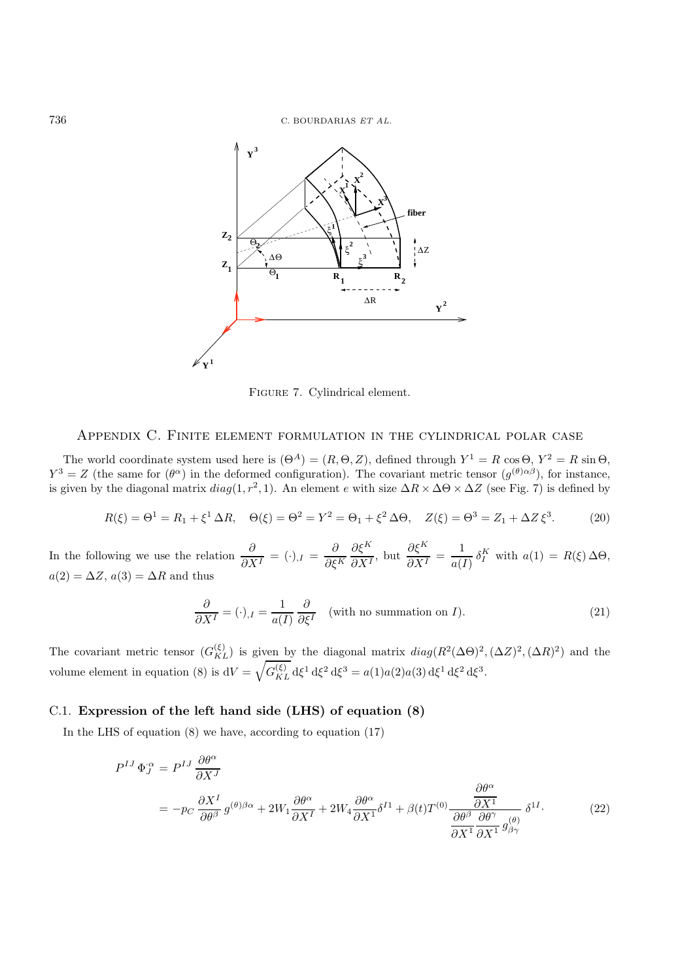

Figure 7. Cylindrical element.

# Appendix C. Finite element formulation in the cylindrical polar case

The world coordinate system used here is  $(\Theta^A)=(R, \Theta, Z)$ , defined through  $Y^1 = R \cos \Theta$ ,  $Y^2 = R \sin \Theta$ ,  $Y^3 = Z$  (the same for  $(\theta^{\alpha})$  in the deformed configuration). The covariant metric tensor  $(g^{(\theta)\alpha\beta})$ , for instance, is given by the diagonal matrix  $diag(1, r^2, 1)$ . An element e with size  $\Delta R \times \Delta \Theta \times \Delta Z$  (see Fig. 7) is defined by

$$
R(\xi) = \Theta^1 = R_1 + \xi^1 \Delta R, \quad \Theta(\xi) = \Theta^2 = Y^2 = \Theta_1 + \xi^2 \Delta \Theta, \quad Z(\xi) = \Theta^3 = Z_1 + \Delta Z \xi^3. \tag{20}
$$

In the following we use the relation  $\frac{\partial}{\partial X^I} = (\cdot)_{,I} = \frac{\partial}{\partial \xi^K}$  $\frac{\partial \xi^K}{\partial X^I}$ , but  $\frac{\partial \xi^K}{\partial X^I} = \frac{1}{a(I)} \delta_I^K$  with  $a(1) = R(\xi) \Delta \Theta$ ,  $a(2) = \Delta Z, a(3) = \Delta R$  and thus

$$
\frac{\partial}{\partial X^I} = (\cdot)_{,I} = \frac{1}{a(I)} \frac{\partial}{\partial \xi^I} \quad \text{(with no summation on } I\text{)}.
$$
 (21)

The covariant metric tensor  $(G_{KL}^{(\xi)})$  is given by the diagonal matrix  $diag(R^2(\Delta\Theta)^2, (\Delta Z)^2, (\Delta R)^2)$  and the volume element in equation (8) is  $dV = \sqrt{G_{KL}^{(\xi)}} d\xi^1 d\xi^2 d\xi^3 = a(1)a(2)a(3) d\xi^1 d\xi^2 d\xi^3$ .

## C.1. **Expression of the left hand side (LHS) of equation (8)**

In the LHS of equation (8) we have, according to equation (17)

$$
P^{IJ} \Phi_J^{\alpha} = P^{IJ} \frac{\partial \theta^{\alpha}}{\partial X^J}
$$
  
=  $-p_C \frac{\partial X^I}{\partial \theta^{\beta}} g^{(\theta)\beta\alpha} + 2W_1 \frac{\partial \theta^{\alpha}}{\partial X^I} + 2W_4 \frac{\partial \theta^{\alpha}}{\partial X^1} \delta^{I1} + \beta(t)T^{(0)} \frac{\partial \theta^{\alpha}}{\partial \delta^{\beta}} \frac{\partial \theta^{\gamma}}{\partial \delta^{\gamma}} g^{(\theta)}_{\beta\gamma} \delta^{1I}.$  (22)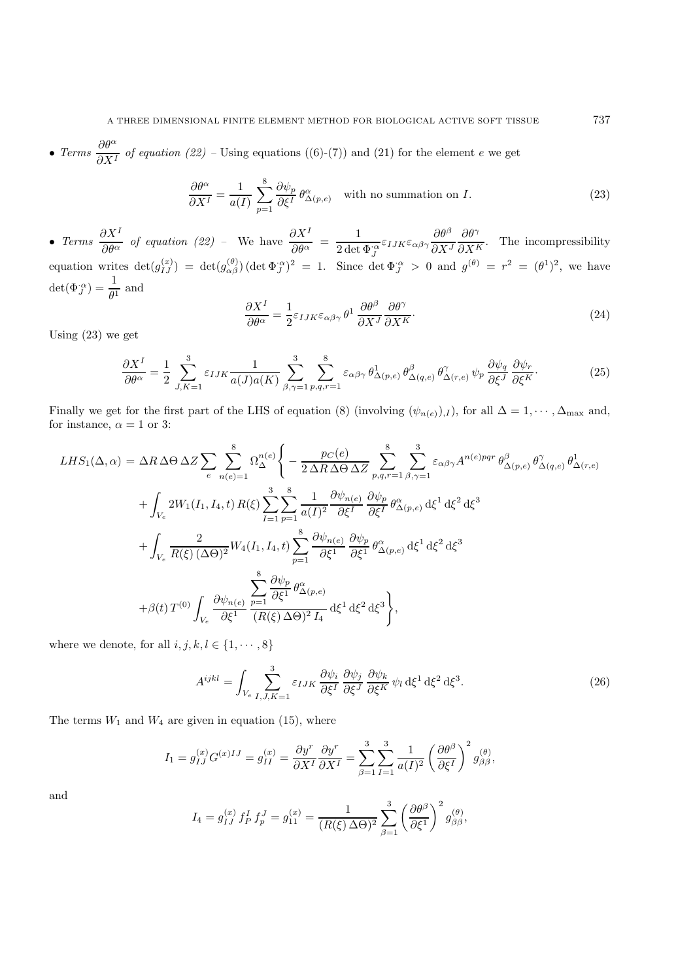• *Terms*  $\frac{\partial \theta^{\alpha}}{\partial X^{I}}$  *of equation (22)* – Using equations ((6)-(7)) and (21) for the element e we get

$$
\frac{\partial \theta^{\alpha}}{\partial X^{I}} = \frac{1}{a(I)} \sum_{p=1}^{8} \frac{\partial \psi_{p}}{\partial \xi^{I}} \theta^{\alpha}_{\Delta(p,e)} \quad \text{with no summation on } I.
$$
 (23)

• *Terms*  $\frac{\partial X^I}{\partial \theta^{\alpha}}$  *of equation (22)* – We have  $\frac{\partial X^I}{\partial \theta^{\alpha}} = \frac{1}{2 \det \Phi^{\alpha}_I} \varepsilon_{IJK} \varepsilon_{\alpha\beta\gamma} \frac{\partial \theta^{\beta}}{\partial X}$  $\overline{\partial X^J}$ ∂θ<sup>γ</sup>  $\frac{\partial}{\partial X^K}$ . The incompressibility equation writes  $\det(g_{IJ}^{(x)}) = \det(g_{\alpha\beta}^{(\theta)}) (\det \Phi_J^{\alpha})^2 = 1$ . Since  $\det \Phi_J^{\alpha} > 0$  and  $g^{(\theta)} = r^2 = (\theta^1)^2$ , we have  $\det(\Phi_J^{\cdot \alpha}) = \frac{1}{\theta^1}$  and

$$
\frac{\partial X^{I}}{\partial \theta^{\alpha}} = \frac{1}{2} \varepsilon_{IJK} \varepsilon_{\alpha\beta\gamma} \theta^{1} \frac{\partial \theta^{\beta}}{\partial X^{J}} \frac{\partial \theta^{\gamma}}{\partial X^{K}}.
$$
\n(24)

Using (23) we get

$$
\frac{\partial X^I}{\partial \theta^{\alpha}} = \frac{1}{2} \sum_{J,K=1}^3 \varepsilon_{IJK} \frac{1}{a(J)a(K)} \sum_{\beta,\gamma=1}^3 \sum_{p,q,r=1}^8 \varepsilon_{\alpha\beta\gamma} \theta^1_{\Delta(p,e)} \theta^{\beta}_{\Delta(q,e)} \theta^{\gamma}_{\Delta(r,e)} \psi_p \frac{\partial \psi_q}{\partial \xi^J} \frac{\partial \psi_r}{\partial \xi^K}.
$$
(25)

Finally we get for the first part of the LHS of equation (8) (involving  $(\psi_{n(e)})$ , for all  $\Delta = 1, \dots, \Delta_{\text{max}}$  and, for instance,  $\alpha = 1$  or 3:

$$
LHS_{1}(\Delta, \alpha) = \Delta R \Delta \Theta \Delta Z \sum_{e} \sum_{n(e)=1}^{8} \Omega_{\Delta}^{n(e)} \Bigg\{ -\frac{p_{C}(e)}{2 \Delta R \Delta \Theta \Delta Z} \sum_{p,q,r=1}^{8} \sum_{\beta,\gamma=1}^{3} \varepsilon_{\alpha\beta\gamma} A^{n(e)pqr} \theta_{\Delta(p,e)}^{\beta} \theta_{\Delta(p,e)}^{\gamma} \theta_{\Delta(q,e)}^1 \theta_{\Delta(r,e)}^1
$$
  
+ 
$$
\int_{V_e} 2W_1(I_1, I_4, t) R(\xi) \sum_{I=1}^{3} \sum_{p=1}^{8} \frac{1}{a(I)^2} \frac{\partial \psi_{n(e)}}{\partial \xi^I} \frac{\partial \psi_p}{\partial \xi^I} \theta_{\Delta(p,e)}^{\alpha} d\xi^1 d\xi^2 d\xi^3
$$
  
+ 
$$
\int_{V_e} \frac{2}{R(\xi)(\Delta \Theta)^2} W_4(I_1, I_4, t) \sum_{p=1}^{8} \frac{\partial \psi_{n(e)}}{\partial \xi^1} \frac{\partial \psi_p}{\partial \xi^1} \theta_{\Delta(p,e)}^{\alpha} d\xi^1 d\xi^2 d\xi^3
$$
  
+ 
$$
\beta(t) T^{(0)} \int_{V_e} \frac{\partial \psi_{n(e)}}{\partial \xi^1} \frac{\sum_{p=1}^{8} \frac{\partial \psi_p}{\partial \xi^1} \theta_{\Delta(p,e)}^{\alpha}}{(R(\xi)\Delta \Theta)^2 I_4} d\xi^1 d\xi^2 d\xi^3 \Bigg\},
$$

where we denote, for all  $i, j, k, l \in \{1, \cdots, 8\}$ 

$$
A^{ijkl} = \int_{V_e} \sum_{I,J,K=1}^3 \varepsilon_{IJK} \frac{\partial \psi_i}{\partial \xi^I} \frac{\partial \psi_j}{\partial \xi^J} \frac{\partial \psi_k}{\partial \xi^K} \psi_l d\xi^1 d\xi^2 d\xi^3.
$$
 (26)

The terms  $W_1$  and  $W_4$  are given in equation (15), where

$$
I_1=g_{IJ}^{(x)}G^{(x)IJ}=g_{II}^{(x)}=\frac{\partial y^r}{\partial X^I}\frac{\partial y^r}{\partial X^I}=\sum_{\beta=1}^3\sum_{I=1}^3\frac{1}{a(I)^2}\left(\frac{\partial\theta^{\beta}}{\partial\xi^I}\right)^2g_{\beta\beta}^{(\theta)},
$$

and

$$
I_4 = g_{IJ}^{(x)} f_P^I f_p^J = g_{11}^{(x)} = \frac{1}{(R(\xi) \Delta \Theta)^2} \sum_{\beta=1}^3 \left(\frac{\partial \theta^{\beta}}{\partial \xi^1}\right)^2 g_{\beta\beta}^{(\theta)},
$$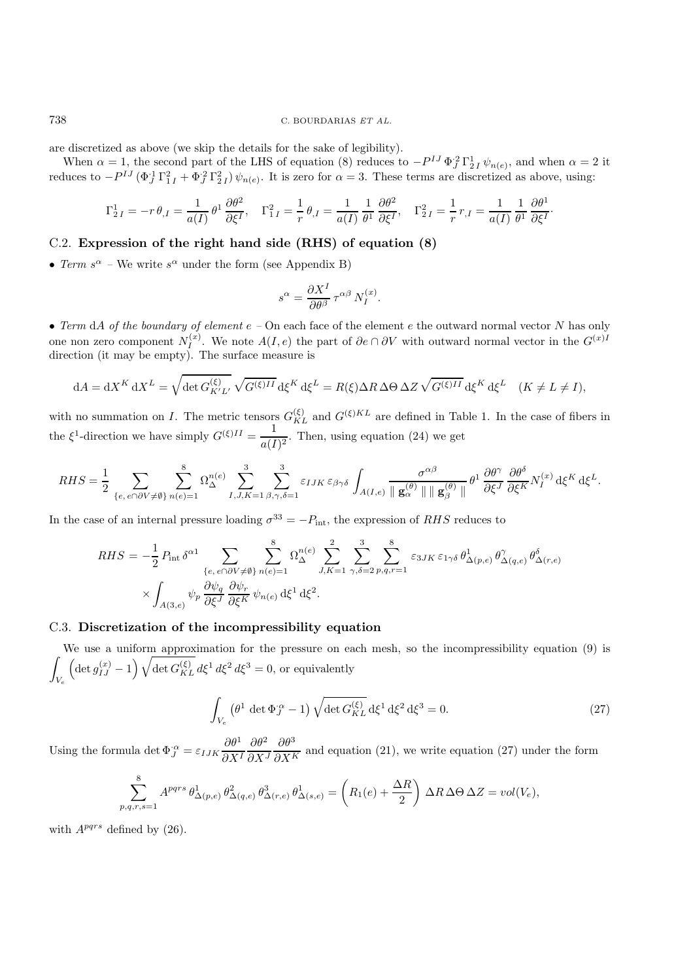are discretized as above (we skip the details for the sake of legibility).

When  $\alpha = 1$ , the second part of the LHS of equation (8) reduces to  $-P^{IJ}\Phi_J^2\Gamma_{2I}^1\psi_{n(e)}$ , and when  $\alpha = 2$  it reduces to  $-P^{IJ}(\Phi_J^1\Gamma_{1I}^2+\Phi_J^2\Gamma_{2I}^2)\psi_{n(e)}$ . It is zero for  $\alpha=3$ . These terms are discretized as above, using:

$$
\Gamma^1_{2\,I}=-r\,\theta_{,I}=\frac{1}{a(I)}\,\theta^1\,\frac{\partial\theta^2}{\partial\xi^I},\quad \Gamma^2_{1\,I}=\frac{1}{r}\,\theta_{,I}=\frac{1}{a(I)}\,\frac{1}{\theta^1}\,\frac{\partial\theta^2}{\partial\xi^I},\quad \Gamma^2_{2\,I}=\frac{1}{r}\,r_{,I}=\frac{1}{a(I)}\,\frac{1}{\theta^1}\,\frac{\partial\theta^1}{\partial\xi^I}.
$$

## C.2. **Expression of the right hand side (RHS) of equation (8)**

• *Term*  $s^{\alpha}$  – We write  $s^{\alpha}$  under the form (see Appendix B)

$$
s^\alpha = \frac{\partial X^I}{\partial \theta^\beta}\, \tau^{\alpha\beta}\, N_I^{(x)}.
$$

• *Term* dA *of the boundary of element*  $e$  – On each face of the element  $e$  the outward normal vector N has only one non zero component  $N_I^{(x)}$ . We note  $A(I, e)$  the part of  $\partial e \cap \partial V$  with outward normal vector in the  $G^{(x)I}$ direction (it may be empty). The surface measure is

$$
dA = dX^K dX^L = \sqrt{\det G_{K'L'}^{(\xi)}} \sqrt{G^{(\xi)II}} d\xi^K d\xi^L = R(\xi) \Delta R \Delta \Theta \Delta Z \sqrt{G^{(\xi)II}} d\xi^K d\xi^L \quad (K \neq L \neq I),
$$

with no summation on I. The metric tensors  $G_{KL}^{(\xi)}$  and  $G^{(\xi)KL}$  are defined in Table 1. In the case of fibers in the  $\xi^1$ -direction we have simply  $G^{(\xi)II} = \frac{1}{a(I)^2}$ . Then, using equation (24) we get

$$
RHS = \frac{1}{2} \sum_{\{e,\ e \cap \partial V \neq \emptyset\}} \sum_{n(e)=1}^{8} \Omega_{\Delta}^{n(e)} \sum_{I,J,K=1}^{3} \sum_{\beta,\gamma,\delta=1}^{3} \varepsilon_{IJK} \varepsilon_{\beta\gamma\delta} \int_{A(I,e)} \frac{\sigma^{\alpha\beta}}{\|\mathbf{g}_{\alpha}^{(\theta)}\| \|\mathbf{g}_{\beta}^{(\theta)}\|} \theta^{1} \frac{\partial \theta^{\gamma}}{\partial \xi^{J}} \frac{\partial \theta^{\delta}}{\partial \xi^{K}} N_{I}^{(x)} d\xi^{K} d\xi^{L}.
$$

In the case of an internal pressure loading  $\sigma^{33} = -P_{\text{int}}$ , the expression of RHS reduces to

$$
RHS = -\frac{1}{2} P_{\text{int}} \delta^{\alpha 1} \sum_{\{e, e \cap \partial V \neq \emptyset\}} \sum_{n(e) = 1}^{8} \Omega_{\Delta}^{n(e)} \sum_{J, K=1}^{2} \sum_{\gamma, \delta=2}^{3} \sum_{p,q,r=1}^{8} \varepsilon_{3JK} \varepsilon_{1\gamma\delta} \theta_{\Delta(p,e)}^{1} \theta_{\Delta(q,e)}^{\gamma} \theta_{\Delta(r,e)}^{\delta}
$$

$$
\times \int_{A(3,e)} \psi_p \frac{\partial \psi_q}{\partial \xi^J} \frac{\partial \psi_r}{\partial \xi^K} \psi_{n(e)} d\xi^1 d\xi^2.
$$

### C.3. **Discretization of the incompressibility equation**

We use a uniform approximation for the pressure on each mesh, so the incompressibility equation (9) is  $\overline{\phantom{a}}$ V*e*  $\left(\det g_{IJ}^{(x)}-1\right)\sqrt{\det G_{KL}^{(\xi)}}d\xi^1 d\xi^2 d\xi^3=0$ , or equivalently

$$
\int_{V_e} \left(\theta^1 \det \Phi_J^{\alpha} - 1\right) \sqrt{\det G_{KL}^{(\xi)}} \, d\xi^1 \, d\xi^2 \, d\xi^3 = 0. \tag{27}
$$

Using the formula det  $\Phi_I^{\alpha} = \varepsilon_{IJK} \frac{\partial \theta^1}{\partial X^I}$  $\overline{\partial X^I}$  $\partial \theta^2$  $\overline{\partial X^J}$  $\frac{\partial \theta^3}{\partial X^K}$  and equation (21), we write equation (27) under the form

$$
\sum_{p,q,r,s=1}^8 A^{pqrs} \theta^1_{\Delta(p,e)} \theta^2_{\Delta(q,e)} \theta^3_{\Delta(r,e)} \theta^1_{\Delta(s,e)} = \left( R_1(e) + \frac{\Delta R}{2} \right) \Delta R \Delta \Theta \Delta Z = vol(V_e),
$$

with  $A^{pqrs}$  defined by (26).